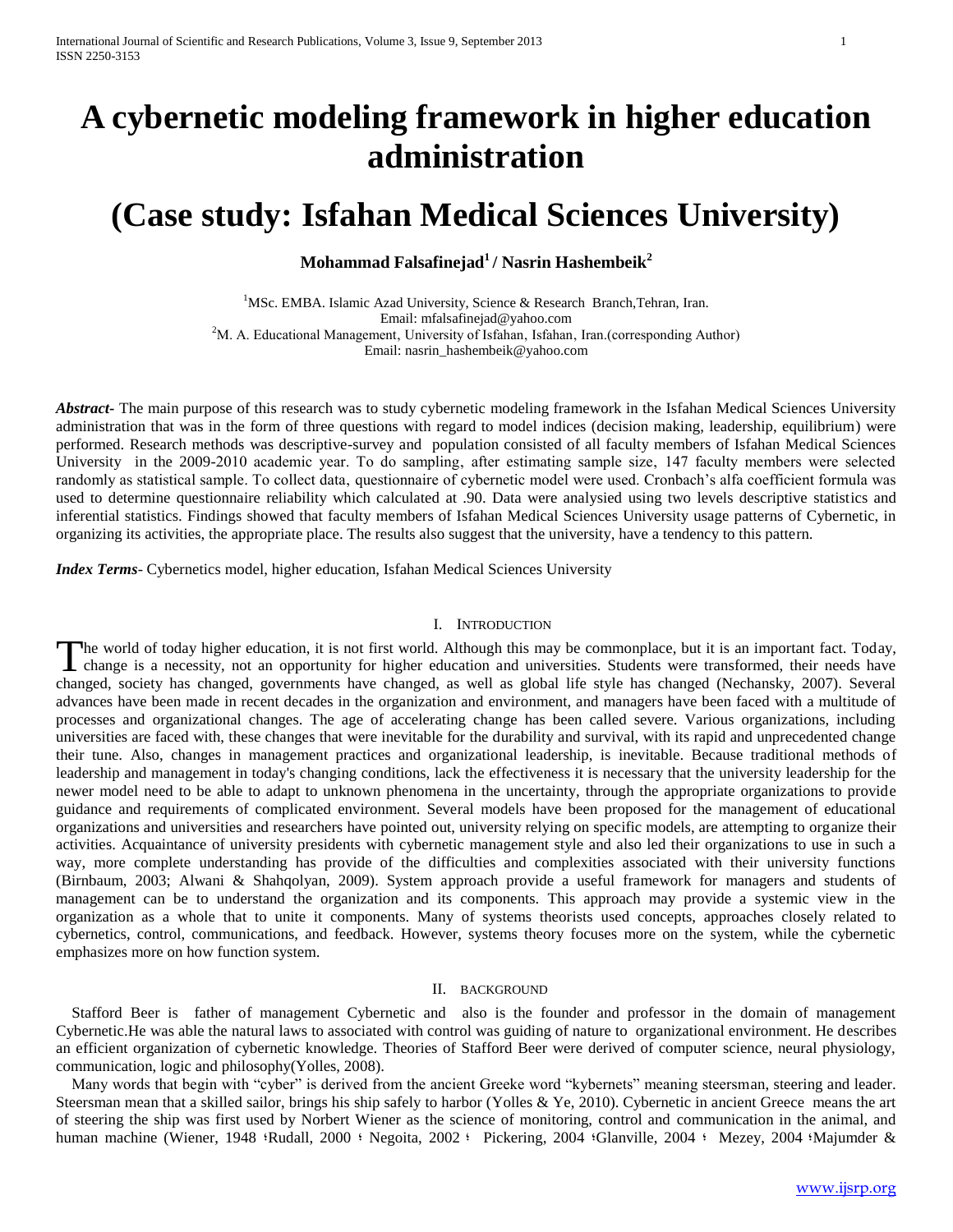# **A cybernetic modeling framework in higher education administration**

## **(Case study: Isfahan Medical Sciences University)**

## **Mohammad Falsafinejad<sup>1</sup> / Nasrin Hashembeik<sup>2</sup>**

<sup>1</sup>MSc. EMBA. Islamic Azad University, Science & Research Branch, Tehran, Iran. Email: mfalsafinejad@yahoo.com <sup>2</sup>M. A. Educational Management, University of Isfahan, Isfahan, Iran.(corresponding Author) Email: nasrin\_hashembeik@yahoo.com

*Abstract***-** The main purpose of this research was to study cybernetic modeling framework in the Isfahan Medical Sciences University administration that was in the form of three questions with regard to model indices (decision making, leadership, equilibrium) were performed. Research methods was descriptive-survey and population consisted of all faculty members of Isfahan Medical Sciences University in the 2009-2010 academic year. To do sampling, after estimating sample size, 147 faculty members were selected randomly as statistical sample. To collect data, questionnaire of cybernetic model were used. Cronbach's alfa coefficient formula was used to determine questionnaire reliability which calculated at .90. Data were analysied using two levels descriptive statistics and inferential statistics. Findings showed that faculty members of Isfahan Medical Sciences University usage patterns of Cybernetic, in organizing its activities, the appropriate place. The results also suggest that the university, have a tendency to this pattern.

*Index Terms*- Cybernetics model, higher education, Isfahan Medical Sciences University

### I. INTRODUCTION

he world of today higher education, it is not first world. Although this may be commonplace, but it is an important fact. Today, The world of today higher education, it is not first world. Although this may be commonplace, but it is an important fact. Today, change is a necessity, not an opportunity for higher education and universities. Students we changed, society has changed, governments have changed, as well as global life style has changed (Nechansky, 2007). Several advances have been made in recent decades in the organization and environment, and managers have been faced with a multitude of processes and organizational changes. The age of accelerating change has been called severe. Various organizations, including universities are faced with, these changes that were inevitable for the durability and survival, with its rapid and unprecedented change their tune. Also, changes in management practices and organizational leadership, is inevitable. Because traditional methods of leadership and management in today's changing conditions, lack the effectiveness it is necessary that the university leadership for the newer model need to be able to adapt to unknown phenomena in the uncertainty, through the appropriate organizations to provide guidance and requirements of complicated environment. Several models have been proposed for the management of educational organizations and universities and researchers have pointed out, university relying on specific models, are attempting to organize their activities. Acquaintance of university presidents with cybernetic management style and also led their organizations to use in such a way, more complete understanding has provide of the difficulties and complexities associated with their university functions (Birnbaum, 2003; Alwani & Shahqolyan, 2009). System approach provide a useful framework for managers and students of management can be to understand the organization and its components. This approach may provide a systemic view in the organization as a whole that to unite it components. Many of systems theorists used concepts, approaches closely related to cybernetics, control, communications, and feedback. However, systems theory focuses more on the system, while the cybernetic emphasizes more on how function system.

#### II. BACKGROUND

 Stafford Beer is father of management Cybernetic and also is the founder and professor in the domain of management Cybernetic.He was able the natural laws to associated with control was guiding of nature to organizational environment. He describes an efficient organization of cybernetic knowledge. Theories of Stafford Beer were derived of computer science, neural physiology, communication, logic and philosophy(Yolles, 2008).

 Many words that begin with "cyber" is derived from the ancient Greeke word "kybernets" meaning steersman, steering and leader. Steersman mean that a skilled sailor, brings his ship safely to harbor (Yolles & Ye, 2010). Cybernetic in ancient Greece means the art of steering the ship was first used by Norbert Wiener as the science of monitoring, control and communication in the animal, and human machine (Wiener, 1948 'Rudall, 2000 ' Negoita, 2002 ' Pickering, 2004 'Glanville, 2004 ' Mezey, 2004 'Majumder &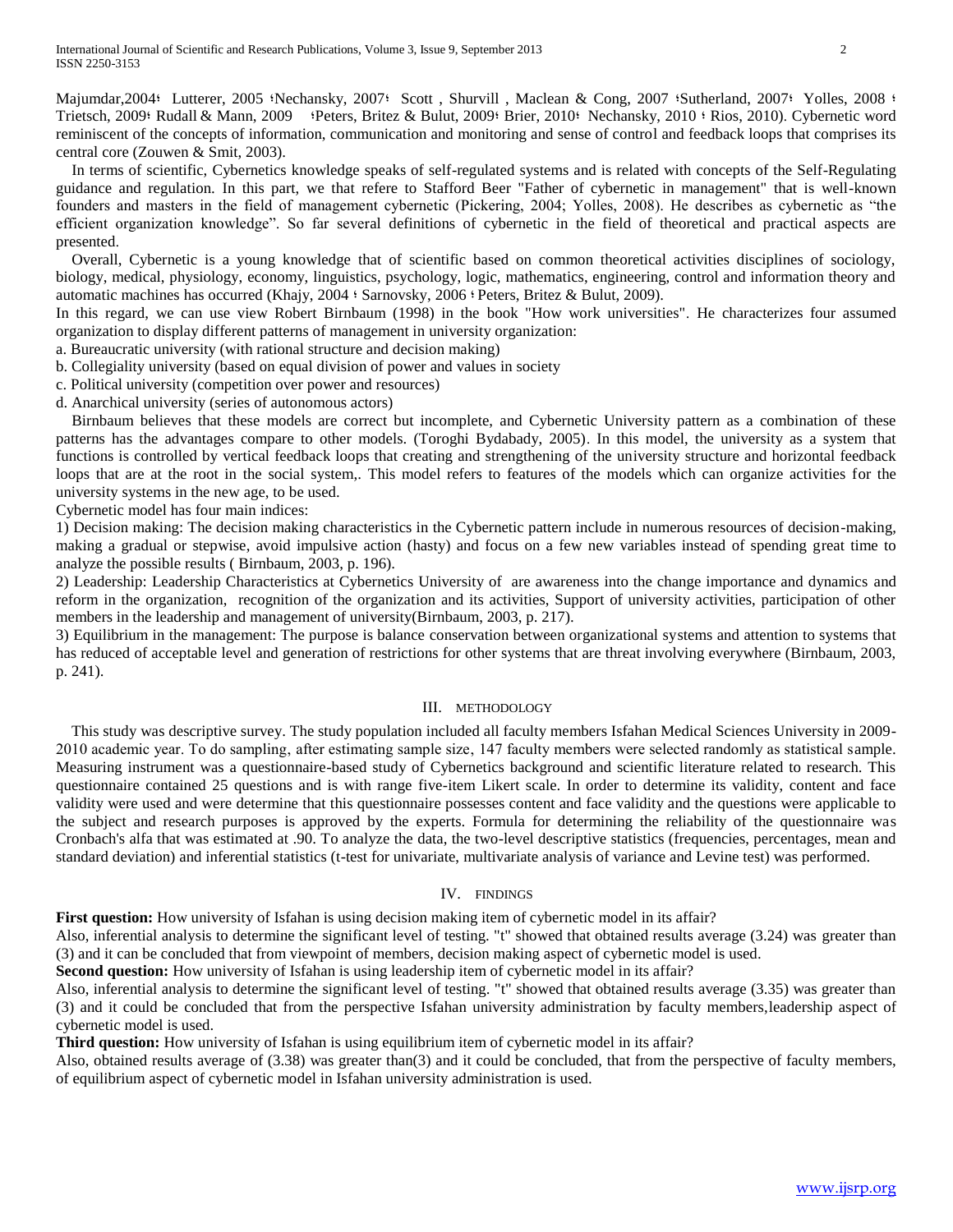Majumdar, 2004: Lutterer, 2005 : Nechansky, 2007: Scott, Shurvill, Maclean & Cong, 2007 : Sutherland, 2007: Yolles, 2008 : Trietsch, 2009؛ Rudall & Mann, 2009 ؛Peters, Britez & Bulut, 2009؛ Brier, 2010؛ Nechansky, 2010 ؛ Rios, 2010). Cybernetic word reminiscent of the concepts of information, communication and monitoring and sense of control and feedback loops that comprises its central core (Zouwen & Smit, 2003).

 In terms of scientific, Cybernetics knowledge speaks of self-regulated systems and is related with concepts of the Self-Regulating guidance and regulation. In this part, we that refere to Stafford Beer "Father of cybernetic in management" that is well-known founders and masters in the field of management cybernetic (Pickering, 2004; Yolles, 2008). He describes as cybernetic as "the efficient organization knowledge". So far several definitions of cybernetic in the field of theoretical and practical aspects are presented.

 Overall, Cybernetic is a young knowledge that of scientific based on common theoretical activities disciplines of sociology, biology, medical, physiology, economy, linguistics, psychology, logic, mathematics, engineering, control and information theory and automatic machines has occurred (Khajy, 2004 ؛ Sarnovsky, 2006 ؛ Peters, Britez & Bulut, 2009).

In this regard, we can use view Robert Birnbaum (1998) in the book "How work universities". He characterizes four assumed organization to display different patterns of management in university organization:

- a. Bureaucratic university (with rational structure and decision making)
- b. Collegiality university (based on equal division of power and values in society
- c. Political university (competition over power and resources)
- d. Anarchical university (series of autonomous actors)

 Birnbaum believes that these models are correct but incomplete, and Cybernetic University pattern as a combination of these patterns has the advantages compare to other models. (Toroghi Bydabady, 2005). In this model, the university as a system that functions is controlled by vertical feedback loops that creating and strengthening of the university structure and horizontal feedback loops that are at the root in the social system,. This model refers to features of the models which can organize activities for the university systems in the new age, to be used.

Cybernetic model has four main indices:

1) Decision making: The decision making characteristics in the Cybernetic pattern include in numerous resources of decision-making, making a gradual or stepwise, avoid impulsive action (hasty) and focus on a few new variables instead of spending great time to analyze the possible results ( Birnbaum, 2003, p. 196).

2) Leadership: Leadership Characteristics at Cybernetics University of are awareness into the change importance and dynamics and reform in the organization, recognition of the organization and its activities, Support of university activities, participation of other members in the leadership and management of university(Birnbaum, 2003, p. 217).

3) Equilibrium in the management: The purpose is balance conservation between organizational systems and attention to systems that has reduced of acceptable level and generation of restrictions for other systems that are threat involving everywhere (Birnbaum, 2003, p. 241).

### III. METHODOLOGY

 This study was descriptive survey. The study population included all faculty members Isfahan Medical Sciences University in 2009- 2010 academic year. To do sampling, after estimating sample size, 147 faculty members were selected randomly as statistical sample. Measuring instrument was a questionnaire-based study of Cybernetics background and scientific literature related to research. This questionnaire contained 25 questions and is with range five-item Likert scale. In order to determine its validity, content and face validity were used and were determine that this questionnaire possesses content and face validity and the questions were applicable to the subject and research purposes is approved by the experts. Formula for determining the reliability of the questionnaire was Cronbach's alfa that was estimated at .90. To analyze the data, the two-level descriptive statistics (frequencies, percentages, mean and standard deviation) and inferential statistics (t-test for univariate, multivariate analysis of variance and Levine test) was performed.

## IV. FINDINGS

**First question:** How university of Isfahan is using decision making item of cybernetic model in its affair?

Also, inferential analysis to determine the significant level of testing. "t" showed that obtained results average (3.24) was greater than (3) and it can be concluded that from viewpoint of members, decision making aspect of cybernetic model is used.

**Second question:** How university of Isfahan is using leadership item of cybernetic model in its affair?

Also, inferential analysis to determine the significant level of testing. "t" showed that obtained results average (3.35) was greater than (3) and it could be concluded that from the perspective Isfahan university administration by faculty members,leadership aspect of cybernetic model is used.

**Third question:** How university of Isfahan is using equilibrium item of cybernetic model in its affair?

Also, obtained results average of (3.38) was greater than(3) and it could be concluded, that from the perspective of faculty members, of equilibrium aspect of cybernetic model in Isfahan university administration is used.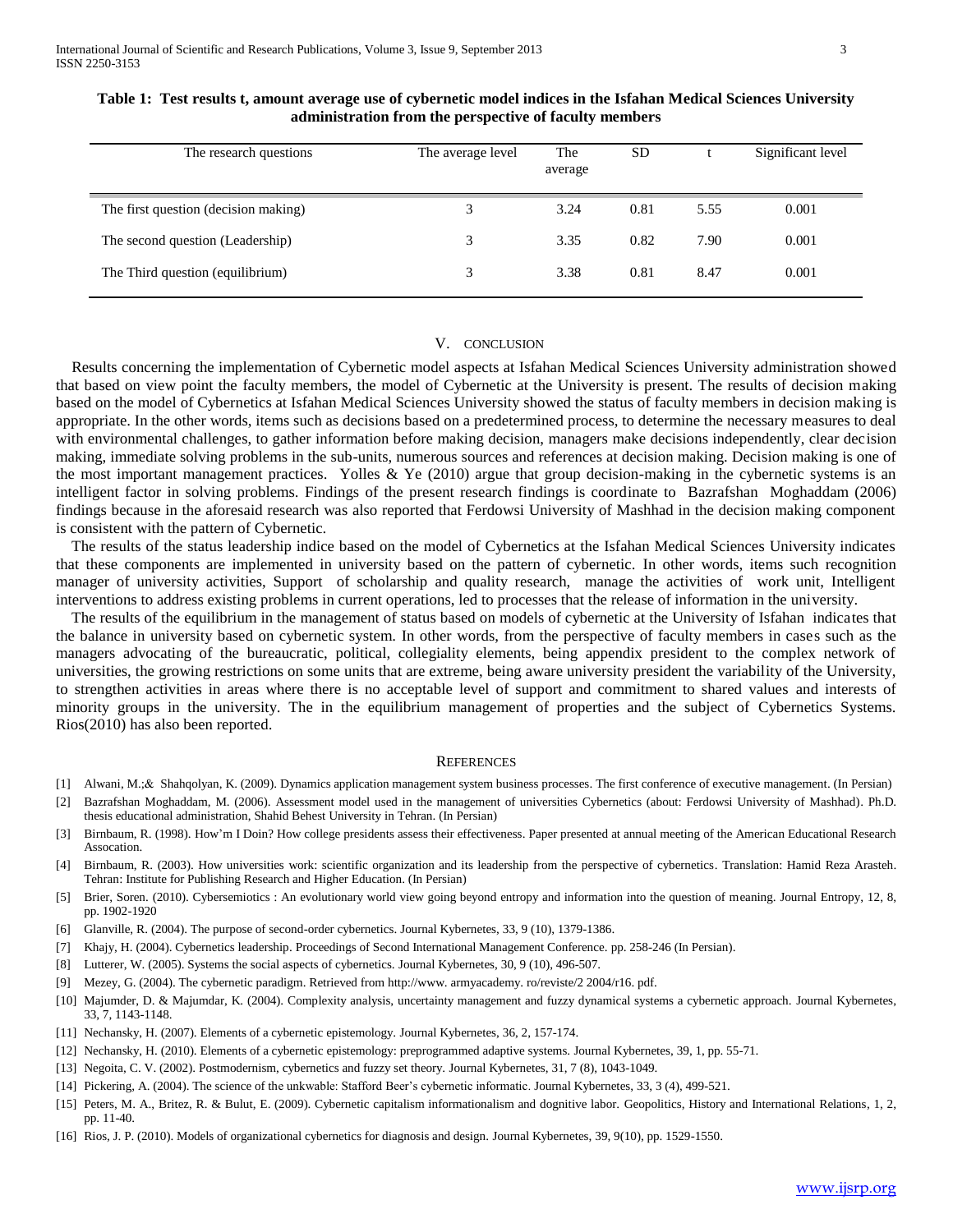| The research questions               | The average level | The<br>average | <b>SD</b> |      | Significant level |
|--------------------------------------|-------------------|----------------|-----------|------|-------------------|
| The first question (decision making) | 3                 | 3.24           | 0.81      | 5.55 | 0.001             |
| The second question (Leadership)     | 3                 | 3.35           | 0.82      | 7.90 | 0.001             |
| The Third question (equilibrium)     | 3                 | 3.38           | 0.81      | 8.47 | 0.001             |

### **Table 1: Test results t, amount average use of cybernetic model indices in the Isfahan Medical Sciences University administration from the perspective of faculty members**

## V. CONCLUSION

 Results concerning the implementation of Cybernetic model aspects at Isfahan Medical Sciences University administration showed that based on view point the faculty members, the model of Cybernetic at the University is present. The results of decision making based on the model of Cybernetics at Isfahan Medical Sciences University showed the status of faculty members in decision making is appropriate. In the other words, items such as decisions based on a predetermined process, to determine the necessary measures to deal with environmental challenges, to gather information before making decision, managers make decisions independently, clear decision making, immediate solving problems in the sub-units, numerous sources and references at decision making. Decision making is one of the most important management practices. Yolles  $& Ye$  (2010) argue that group decision-making in the cybernetic systems is an intelligent factor in solving problems. Findings of the present research findings is coordinate to Bazrafshan Moghaddam (2006) findings because in the aforesaid research was also reported that Ferdowsi University of Mashhad in the decision making component is consistent with the pattern of Cybernetic.

 The results of the status leadership indice based on the model of Cybernetics at the Isfahan Medical Sciences University indicates that these components are implemented in university based on the pattern of cybernetic. In other words, items such recognition manager of university activities, Support of scholarship and quality research, manage the activities of work unit, Intelligent interventions to address existing problems in current operations, led to processes that the release of information in the university.

 The results of the equilibrium in the management of status based on models of cybernetic at the University of Isfahan indicates that the balance in university based on cybernetic system. In other words, from the perspective of faculty members in cases such as the managers advocating of the bureaucratic, political, collegiality elements, being appendix president to the complex network of universities, the growing restrictions on some units that are extreme, being aware university president the variability of the University, to strengthen activities in areas where there is no acceptable level of support and commitment to shared values and interests of minority groups in the university. The in the equilibrium management of properties and the subject of Cybernetics Systems. Rios(2010) has also been reported.

#### **REFERENCES**

- [1] Alwani, M.;& Shahqolyan, K. (2009). Dynamics application management system business processes. The first conference of executive management. (In Persian)
- [2] Bazrafshan Moghaddam, M. (2006). Assessment model used in the management of universities Cybernetics (about: Ferdowsi University of Mashhad). Ph.D. thesis educational administration, Shahid Behest University in Tehran. (In Persian)
- [3] Birnbaum, R. (1998). How'm I Doin? How college presidents assess their effectiveness. Paper presented at annual meeting of the American Educational Research Assocation.
- [4] Birnbaum, R. (2003). How universities work: scientific organization and its leadership from the perspective of cybernetics. Translation: Hamid Reza Arasteh. Tehran: Institute for Publishing Research and Higher Education. (In Persian)
- [5] Brier, Soren. (2010). Cybersemiotics : An evolutionary world view going beyond entropy and information into the question of meaning. Journal Entropy, 12, 8, pp. 1902-1920
- [6] Glanville, R. (2004). The purpose of second-order cybernetics. Journal Kybernetes, 33, 9 (10), 1379-1386.
- [7] Khajy, H. (2004). Cybernetics leadership. Proceedings of Second International Management Conference. pp. 258-246 (In Persian).
- [8] Lutterer, W. (2005). Systems the social aspects of cybernetics. Journal Kybernetes, 30, 9 (10), 496-507.
- [9] Mezey, G. (2004). The cybernetic paradigm. Retrieved from http://www. armyacademy. ro/reviste/2 2004/r16. pdf.
- [10] Majumder, D. & Majumdar, K. (2004). Complexity analysis, uncertainty management and fuzzy dynamical systems a cybernetic approach. Journal Kybernetes, 33, 7, 1143-1148.
- [11] Nechansky, H. (2007). Elements of a cybernetic epistemology. Journal Kybernetes, 36, 2, 157-174.
- [12] Nechansky, H. (2010). Elements of a cybernetic epistemology: preprogrammed adaptive systems. Journal Kybernetes, 39, 1, pp. 55-71.
- [13] Negoita, C. V. (2002). Postmodernism, cybernetics and fuzzy set theory. Journal Kybernetes, 31, 7 (8), 1043-1049.
- [14] Pickering, A. (2004). The science of the unkwable: Stafford Beer's cybernetic informatic. Journal Kybernetes, 33, 3 (4), 499-521.
- [15] Peters, M. A., Britez, R. & Bulut, E. (2009). Cybernetic capitalism informationalism and dognitive labor. Geopolitics, History and International Relations, 1, 2, pp. 11-40.
- [16] Rios, J. P. (2010). Models of organizational cybernetics for diagnosis and design. Journal Kybernetes, 39, 9(10), pp. 1529-1550.